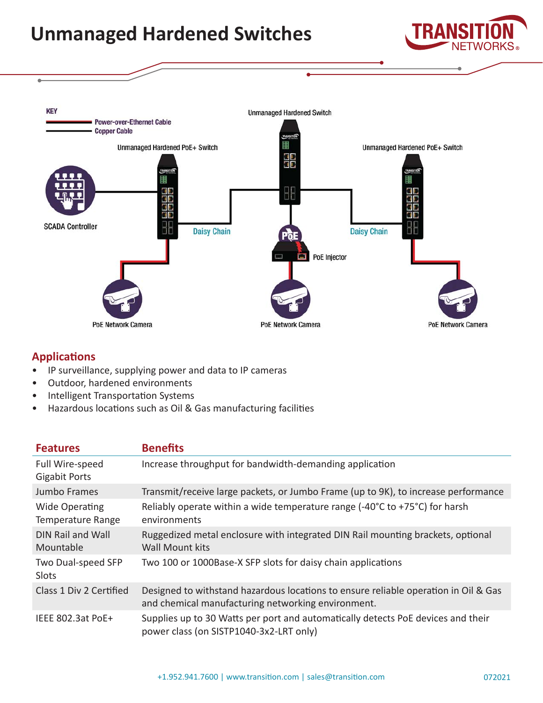## **Unmanaged Hardened Switches**





## **Applications**

- IP surveillance, supplying power and data to IP cameras
- Outdoor, hardened environments
- Intelligent Transportation Systems
- Hazardous locations such as Oil & Gas manufacturing facilities

| <b>Features</b>                            | <b>Benefits</b>                                                                                                                           |  |
|--------------------------------------------|-------------------------------------------------------------------------------------------------------------------------------------------|--|
| Full Wire-speed<br><b>Gigabit Ports</b>    | Increase throughput for bandwidth-demanding application                                                                                   |  |
| Jumbo Frames                               | Transmit/receive large packets, or Jumbo Frame (up to 9K), to increase performance                                                        |  |
| <b>Wide Operating</b><br>Temperature Range | Reliably operate within a wide temperature range $(-40^{\circ}C \text{ to } +75^{\circ}C)$ for harsh<br>environments                      |  |
| <b>DIN Rail and Wall</b><br>Mountable      | Ruggedized metal enclosure with integrated DIN Rail mounting brackets, optional<br><b>Wall Mount kits</b>                                 |  |
| Two Dual-speed SFP<br>Slots                | Two 100 or 1000Base-X SFP slots for daisy chain applications                                                                              |  |
| Class 1 Div 2 Certified                    | Designed to withstand hazardous locations to ensure reliable operation in Oil & Gas<br>and chemical manufacturing networking environment. |  |
| IEEE 802.3at PoE+                          | Supplies up to 30 Watts per port and automatically detects PoE devices and their<br>power class (on SISTP1040-3x2-LRT only)               |  |